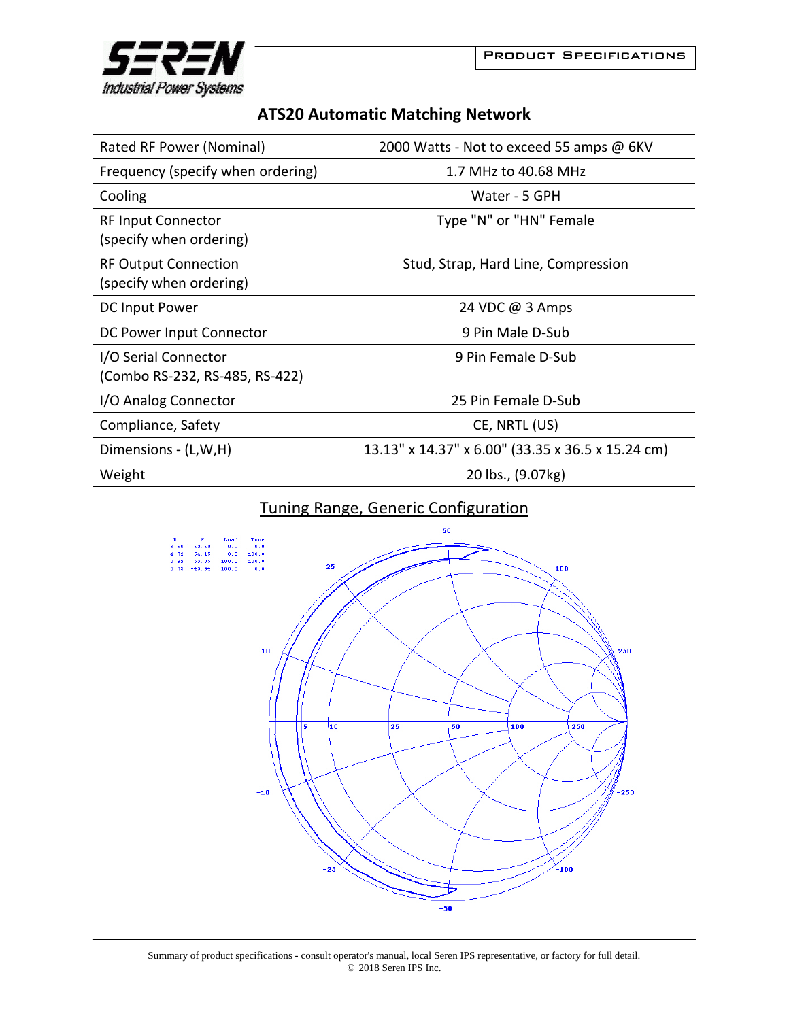

## **ATS20 Automatic Matching Network**

| Rated RF Power (Nominal)                               | 2000 Watts - Not to exceed 55 amps @ 6KV          |
|--------------------------------------------------------|---------------------------------------------------|
| Frequency (specify when ordering)                      | 1.7 MHz to 40.68 MHz                              |
| Cooling                                                | Water - 5 GPH                                     |
| <b>RF Input Connector</b><br>(specify when ordering)   | Type "N" or "HN" Female                           |
| <b>RF Output Connection</b><br>(specify when ordering) | Stud, Strap, Hard Line, Compression               |
| DC Input Power                                         | 24 VDC @ 3 Amps                                   |
| DC Power Input Connector                               | 9 Pin Male D-Sub                                  |
| I/O Serial Connector<br>(Combo RS-232, RS-485, RS-422) | 9 Pin Female D-Sub                                |
| I/O Analog Connector                                   | 25 Pin Female D-Sub                               |
| Compliance, Safety                                     | CE, NRTL (US)                                     |
| Dimensions - (L,W,H)                                   | 13.13" x 14.37" x 6.00" (33.35 x 36.5 x 15.24 cm) |
| Weight                                                 | 20 lbs., (9.07kg)                                 |

## Tuning Range, Generic Configuration